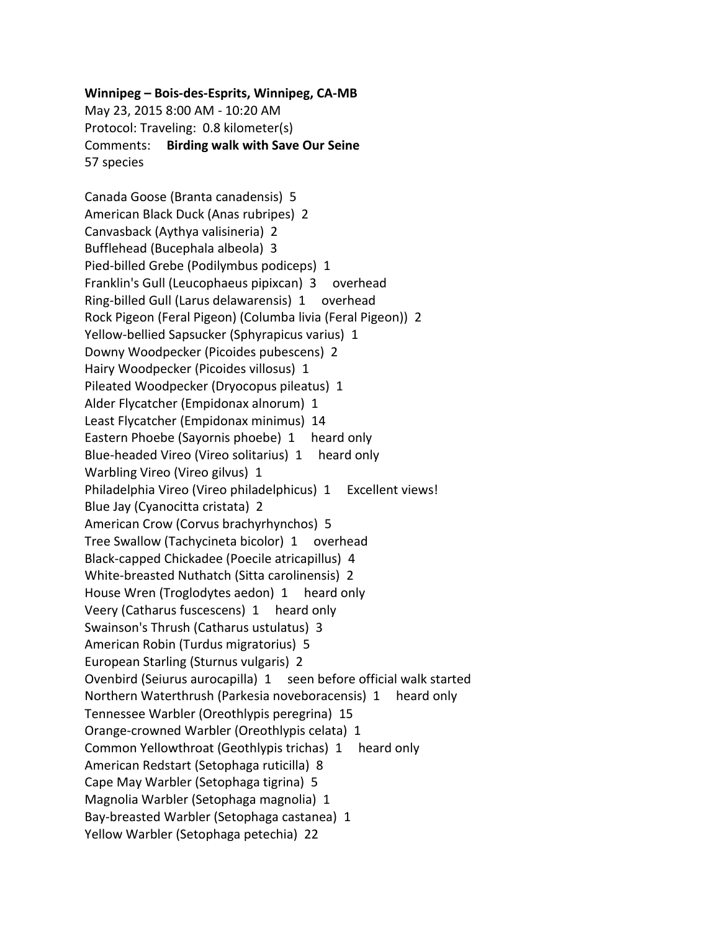## **Winnipeg – Bois-des-Esprits, Winnipeg, CA-MB**

May 23, 2015 8:00 AM - 10:20 AM Protocol: Traveling: 0.8 kilometer(s) Comments: **Birding walk with Save Our Seine** 57 species

Canada Goose (Branta canadensis) 5 American Black Duck (Anas rubripes) 2 Canvasback (Aythya valisineria) 2 Bufflehead (Bucephala albeola) 3 Pied-billed Grebe (Podilymbus podiceps) 1 Franklin's Gull (Leucophaeus pipixcan) 3 overhead Ring-billed Gull (Larus delawarensis) 1 overhead Rock Pigeon (Feral Pigeon) (Columba livia (Feral Pigeon)) 2 Yellow-bellied Sapsucker (Sphyrapicus varius) 1 Downy Woodpecker (Picoides pubescens) 2 Hairy Woodpecker (Picoides villosus) 1 Pileated Woodpecker (Dryocopus pileatus) 1 Alder Flycatcher (Empidonax alnorum) 1 Least Flycatcher (Empidonax minimus) 14 Eastern Phoebe (Sayornis phoebe) 1 heard only Blue-headed Vireo (Vireo solitarius) 1 heard only Warbling Vireo (Vireo gilvus) 1 Philadelphia Vireo (Vireo philadelphicus) 1 Excellent views! Blue Jay (Cyanocitta cristata) 2 American Crow (Corvus brachyrhynchos) 5 Tree Swallow (Tachycineta bicolor) 1 overhead Black-capped Chickadee (Poecile atricapillus) 4 White-breasted Nuthatch (Sitta carolinensis) 2 House Wren (Troglodytes aedon) 1 heard only Veery (Catharus fuscescens) 1 heard only Swainson's Thrush (Catharus ustulatus) 3 American Robin (Turdus migratorius) 5 European Starling (Sturnus vulgaris) 2 Ovenbird (Seiurus aurocapilla) 1 seen before official walk started Northern Waterthrush (Parkesia noveboracensis) 1 heard only Tennessee Warbler (Oreothlypis peregrina) 15 Orange-crowned Warbler (Oreothlypis celata) 1 Common Yellowthroat (Geothlypis trichas) 1 heard only American Redstart (Setophaga ruticilla) 8 Cape May Warbler (Setophaga tigrina) 5 Magnolia Warbler (Setophaga magnolia) 1 Bay-breasted Warbler (Setophaga castanea) 1 Yellow Warbler (Setophaga petechia) 22